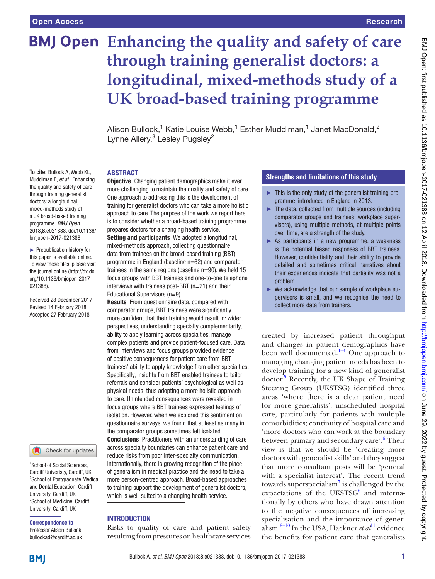**To cite:** Bullock A, Webb KL, Muddiman E, *et al*. Enhancing the quality and safety of care through training generalist doctors: a longitudinal, mixed-methods study of a UK broad-based training programme. *BMJ Open* 2018;8:e021388. doi:10.1136/ bmjopen-2017-021388 ► Prepublication history for this paper is available online. To view these files, please visit the journal online [\(http://dx.doi.](http://dx.doi.org/10.1136/bmjopen-2017-021388) [org/10.1136/bmjopen-2017-](http://dx.doi.org/10.1136/bmjopen-2017-021388)

[021388\)](http://dx.doi.org/10.1136/bmjopen-2017-021388).

Received 28 December 2017 Revised 14 February 2018 Accepted 27 February 2018

<sup>1</sup> School of Social Sciences, Cardiff Univeristy, Cardiff, UK 2 School of Postgraduate Medical and Dental Education, Cardiff University, Cardiff, UK <sup>3</sup>School of Medicine, Cardiff University, Cardiff, UK Correspondence to Professor Alison Bullock; bullockad@cardiff.ac.uk

Check for updates

# **Enhancing the quality and safety of care through training generalist doctors: a longitudinal, mixed-methods study of a UK broad-based training programme**

Alison Bullock,<sup>1</sup> Katie Louise Webb,<sup>1</sup> Esther Muddiman,<sup>1</sup> Janet MacDonald,<sup>2</sup> Lynne Allery,<sup>3</sup> Lesley Pugsley<sup>2</sup>

# **ABSTRACT**

**Objective** Changing patient demographics make it ever more challenging to maintain the quality and safety of care. One approach to addressing this is the development of training for generalist doctors who can take a more holistic approach to care. The purpose of the work we report here is to consider whether a broad-based training programme prepares doctors for a changing health service.

Setting and participants We adopted a longitudinal, mixed-methods approach, collecting questionnaire data from trainees on the broad-based training (BBT) programme in England (baseline n=62) and comparator trainees in the same regions (baseline n=90). We held 15 focus groups with BBT trainees and one-to-one telephone interviews with trainees post-BBT (n=21) and their Educational Supervisors (n=9).

Results From questionnaire data, compared with comparator groups, BBT trainees were significantly more confident that their training would result in: wider perspectives, understanding specialty complementarity, ability to apply learning across specialties, manage complex patients and provide patient-focused care. Data from interviews and focus groups provided evidence of positive consequences for patient care from BBT trainees' ability to apply knowledge from other specialties. Specifically, insights from BBT enabled trainees to tailor referrals and consider patients' psychological as well as physical needs, thus adopting a more holistic approach to care. Unintended consequences were revealed in focus groups where BBT trainees expressed feelings of isolation. However, when we explored this sentiment on questionnaire surveys, we found that at least as many in the comparator groups sometimes felt isolated. Conclusions Practitioners with an understanding of care across specialty boundaries can enhance patient care and

reduce risks from poor inter-specialty communication. Internationally, there is growing recognition of the place of generalism in medical practice and the need to take a more person-centred approach. Broad-based approaches to training support the development of generalist doctors, which is well-suited to a changing health service.

# **INTRODUCTION**

Risks to quality of care and patient safety resulting from pressures on healthcare services

# Strengths and limitations of this study

- ► This is the only study of the generalist training programme, introduced in England in 2013.
- ► The data, collected from multiple sources (including comparator groups and trainees' workplace supervisors), using multiple methods, at multiple points over time, are a strength of the study.
- ► As participants in a new programme, a weakness is the potential biased responses of BBT trainees. However, confidentiality and their ability to provide detailed and sometimes critical narratives about their experiences indicate that partiality was not a problem.
- ► We acknowledge that our sample of workplace supervisors is small, and we recognise the need to collect more data from trainers.

created by increased patient throughput and changes in patient demographics have been well documented.<sup>1-4</sup> One approach to managing changing patient needs has been to develop training for a new kind of generalist doctor.<sup>[5](#page-5-1)</sup> Recently, the UK Shape of Training Steering Group (UKSTSG) identified three areas 'where there is a clear patient need for more generalists': unscheduled hospital care, particularly for patients with multiple comorbidities; continuity of hospital care and 'more doctors who can work at the boundary between primary and secondary care'.<sup>6</sup> Their view is that we should be 'creating more doctors with generalist skills' and they suggest that more consultant posts will be 'general with a specialist interest'. The recent trend towards superspecialism<sup>[7](#page-5-3)</sup> is challenged by the  $expectations$  of the UKSTS $G<sup>6</sup>$  and internationally by others who have drawn attention to the negative consequences of increasing specialisation and the importance of generalism.[8–10](#page-5-4) In the USA, Hackner *et al*[11](#page-6-0) evidence the benefits for patient care that generalists

**BMI**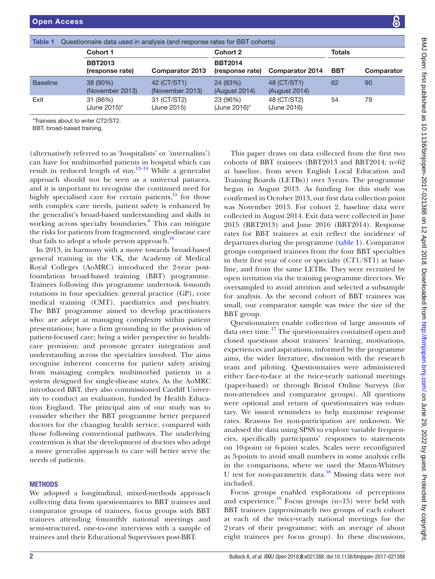<span id="page-1-0"></span>

| Questionnaire data used in analysis (and response rates for BBT cohorts)<br><b>Table 1</b> |                                   |                                |                                   |                              |               |            |  |  |
|--------------------------------------------------------------------------------------------|-----------------------------------|--------------------------------|-----------------------------------|------------------------------|---------------|------------|--|--|
|                                                                                            | Cohort 1                          |                                | Cohort 2                          |                              | <b>Totals</b> |            |  |  |
|                                                                                            | <b>BBT2013</b><br>(response rate) | <b>Comparator 2013</b>         | <b>BBT2014</b><br>(response rate) | <b>Comparator 2014</b>       | <b>BBT</b>    | Comparator |  |  |
| <b>Baseline</b>                                                                            | 38 (90%)<br>(November 2013)       | 42 (CT/ST1)<br>(November 2013) | 24 (83%)<br>(August 2014)         | 48 (CT/ST1)<br>(August 2014) | 62            | 90         |  |  |
| Exit                                                                                       | 31 (86%)<br>(June 2015)*          | 31 (CT/ST2)<br>(June 2015)     | 23 (96%)<br>(June 2016)*          | 48 (CT/ST2)<br>(June 2016)   | 54            | 79         |  |  |

\*Trainees about to enter CT2/ST2.

BBT, broad-based training.

(alternatively referred to as 'hospitalists' or 'internalists') can have for multimorbid patients in hospital which can result in reduced length of stay.<sup>[12–14](#page-6-1)</sup> While a generalist approach should not be seen as a universal panacea, and it is important to recognise the continued need for highly specialised care for certain patients, $15$  for those with complex care needs, patient safety is enhanced by the generalist's broad-based understanding and skills in working across specialty boundaries.<sup>[8](#page-5-4)</sup> This can mitigate the risks for patients from fragmented, single-disease care that fails to adopt a whole person approach.<sup>[16](#page-6-3)</sup>

In 2013, in harmony with a move towards broad-based general training in the UK, the Academy of Medical Royal Colleges (AoMRC) introduced the 2-year postfoundation broad-based training (BBT) programme. Trainees following this programme undertook 6-month rotations in four specialties: general practice (GP), core medical training (CMT), paediatrics and psychiatry. The BBT programme aimed to develop practitioners who: are adept at managing complexity within patient presentations; have a firm grounding in the provision of patient-focused care; bring a wider perspective to healthcare provision; and promote greater integration and understanding across the specialties involved. The aims recognise inherent concerns for patient safety arising from managing complex multimorbid patients in a system designed for single-disease states. As the AoMRC introduced BBT, they also commissioned Cardiff University to conduct an evaluation, funded by Health Education England. The principal aim of our study was to consider whether the BBT programme better prepared doctors for the changing health service, compared with those following conventional pathways. The underlying contention is that the development of doctors who adopt a more generalist approach to care will better serve the needs of patients.

#### **METHODS**

We adopted a longitudinal, mixed-methods approach collecting data from questionnaires to BBT trainees and comparator groups of trainees, focus groups with BBT trainees attending 6monthly national meetings and semi-structured, one-to-one interviews with a sample of trainees and their Educational Supervisors post-BBT.

This paper draws on data collected from the first two cohorts of BBT trainees (BBT2013 and BBT2014; n=62 at baseline, from seven English Local Education and Training Boards (LETBs)) over 3years. The programme began in August 2013. As funding for this study was confirmed in October 2013, our first data collection point was November 2013. For cohort 2, baseline data were collected in August 2014. Exit data were collected in June 2015 (BBT2013) and June 2016 (BBT2014). Response rates for BBT trainees at exit reflect the incidence of departures during the programme [\(table](#page-1-0) 1). Comparator groups comprised trainees from the four BBT specialties in their first year of core or specialty (CT1/ST1) at baseline, and from the same LETBs. They were recruited by open invitation via the training programme directors. We oversampled to avoid attrition and selected a subsample for analysis. As the second cohort of BBT trainees was small, our comparator sample was twice the size of the BBT group.

Questionnaires enable collection of large amounts of data over time.<sup>17</sup> The questionnaires contained open and closed questions about trainees' learning, motivations, experiences and aspirations, informed by the programme aims, the wider literature, discussion with the research team and piloting. Questionnaires were administered either face-to-face at the twice-yearly national meetings (paper-based) or through Bristol Online Surveys (for non-attendees and comparator groups). All questions were optional and return of questionnaires was voluntary. We issued reminders to help maximise response rates. Reasons for non-participation are unknown. We analysed the data using SPSS to explore variable frequencies, specifically participants' responses to statements on 10-point or 6-point scales. Scales were reconfigured as 3-points to avoid small numbers in some analysis cells in the comparisons, where we used the Mann-Whitney U test for non-parametric data.<sup>18</sup> Missing data were not included.

Focus groups enabled explorations of perceptions and experience. $^{19}$  Focus groups (n=15) were held with BBT trainees (approximately two groups of each cohort at each of the twice-yearly national meetings for the 2years of their programme; with an average of about eight trainees per focus group). In these discussions,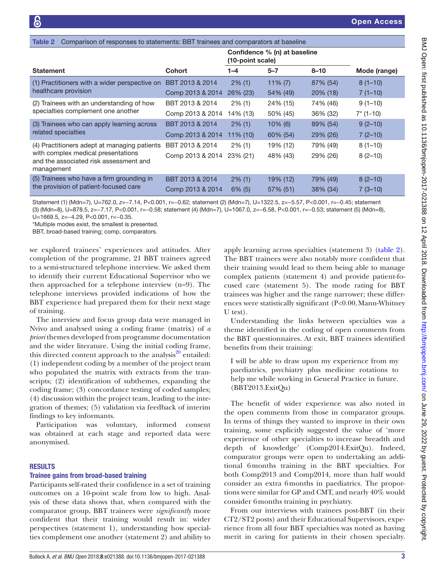<span id="page-2-0"></span>

| Comparison of responses to statements: BBT trainees and comparators at baseline<br>Table 2 |                                     |                        |                              |                      |                        |  |
|--------------------------------------------------------------------------------------------|-------------------------------------|------------------------|------------------------------|----------------------|------------------------|--|
|                                                                                            |                                     | (10-point scale)       | Confidence % (n) at baseline |                      |                        |  |
| <b>Statement</b>                                                                           | <b>Cohort</b>                       | 1–4                    | $5 - 7$                      | $8 - 10$             | Mode (range)           |  |
| (1) Practitioners with a wider perspective on                                              | BBT 2013 & 2014                     | $2\%$ (1)              | $11\% (7)$                   | 87% (54)             | $8(1-10)$              |  |
| healthcare provision                                                                       | Comp 2013 & 2014                    | 26% (23)               | 54% (49)                     | $20\%$ (18)          | $7(1-10)$              |  |
| (2) Trainees with an understanding of how                                                  | BBT 2013 & 2014                     | $2\%$ (1)              | 24% (15)                     | 74% (46)             | $9(1-10)$              |  |
| specialties complement one another                                                         | Comp 2013 & 2014                    | 14% (13)               | 50% (45)                     | 36% (32)             | $7*(1-10)$             |  |
| (3) Trainees who can apply learning across                                                 | BBT 2013 & 2014                     | $2\%$ (1)              | $10\%$ (6)                   | 89% (54)             | $9(2-10)$              |  |
| related specialties                                                                        | Comp 2013 & 2014                    | 11% (10)               | 60% (54)                     | 29% (26)             | $7(2-10)$              |  |
| (4) Practitioners adept at managing patients                                               | BBT 2013 & 2014                     | $2\%$ (1)              | 19% (12)                     | 79% (49)             | $8(1-10)$              |  |
| with complex medical presentations<br>and the associated risk assessment and<br>management | Comp 2013 & 2014                    | 23% (21)               | 48% (43)                     | 29% (26)             | $8(2-10)$              |  |
| (5) Trainees who have a firm grounding in<br>the provision of patient-focused care         | BBT 2013 & 2014<br>Comp 2013 & 2014 | $2\%$ (1)<br>$6\%$ (5) | 19% (12)<br>57% (51)         | 79% (49)<br>38% (34) | $8(2-10)$<br>$7(3-10)$ |  |
|                                                                                            |                                     |                        |                              |                      |                        |  |

Statement (1) (Mdn=7), U=762.0, *z*=−7.14, P<0.001, r=−0.62; statement (2) (Mdn=7), U=1322.5, z=−5.57, P<0.001, r=−0.45; statement (3) (Mdn=8), U=878.5, z=−7.17, P<0.001, r=−0.58; statement (4) (Mdn=7), U=1067.0, z=−6.58, P<0.001, r=−0.53; statement (5) (Mdn=8), U=1669.5, z=-4.29, P<0.001, r=-0.35.

\*Multiple modes exist, the smallest is presented.

BBT, broad-based training; comp, comparators.

we explored trainees' experiences and attitudes. After completion of the programme, 21 BBT trainees agreed to a semi-structured telephone interview. We asked them to identify their current Educational Supervisor who we then approached for a telephone interview (n=9). The telephone interviews provided indications of how the BBT experience had prepared them for their next stage of training.

The interview and focus group data were managed in Nvivo and analysed using a coding frame (matrix) of *a priori* themes developed from programme documentation and the wider literature. Using the initial coding frame, this directed content approach to the analysis $^{20}$  $^{20}$  $^{20}$  entailed: (1) independent coding by a member of the project team who populated the matrix with extracts from the transcripts; (2) identification of subthemes, expanding the coding frame; (3) concordance testing of coded samples; (4) discussion within the project team, leading to the integration of themes; (5) validation via feedback of interim findings to key informants.

Participation was voluntary, informed consent was obtained at each stage and reported data were anonymised.

#### **RESULTS**

#### Trainee gains from broad-based training

Participants self-rated their confidence in a set of training outcomes on a 10-point scale from low to high. Analysis of these data shows that, when compared with the comparator group, BBT trainees were *significantly* more confident that their training would result in: wider perspectives (statement 1), understanding how specialties complement one another (statement 2) and ability to

apply learning across specialties (statement 3) ([table](#page-2-0) 2). The BBT trainees were also notably more confident that their training would lead to them being able to manage complex patients (statement 4) and provide patient-focused care (statement 5). The mode rating for BBT trainees was higher and the range narrower; these differences were statistically significant (P<0.00,Mann-Whitney U test).

Understanding the links between specialties was a theme identified in the coding of open comments from the BBT questionnaires. At exit, BBT trainees identified benefits from their training:

I will be able to draw upon my experience from my paediatrics, psychiatry plus medicine rotations to help me while working in General Practice in future. (BBT2013.ExitQu)

The benefit of wider experience was also noted in the open comments from those in comparator groups. In terms of things they wanted to improve in their own training, some explicitly suggested the value of 'more experience of other specialties to increase breadth and depth of knowledge' (Comp2014.ExitQu). Indeed, comparator groups were open to undertaking an additional 6months training in the BBT specialties. For both Comp2013 and Comp2014, more than half would consider an extra 6months in paediatrics. The proportions were similar for GP and CMT, and nearly 40% would consider 6months training in psychiatry.

From our interviews with trainees post-BBT (in their CT2/ST2 posts) and their Educational Supervisors, experience from all four BBT specialties was noted as having merit in caring for patients in their chosen specialty.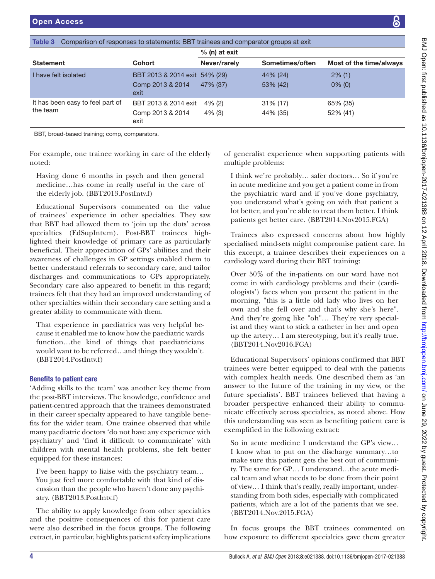<span id="page-3-0"></span>

|                                              | <b>Cohort</b>                                             | $%$ (n) at exit        |                         |                         |  |
|----------------------------------------------|-----------------------------------------------------------|------------------------|-------------------------|-------------------------|--|
| <b>Statement</b>                             |                                                           | Never/rarely           | Sometimes/often         | Most of the time/always |  |
| I have felt isolated                         | BBT 2013 & 2014 exit 54% (29)<br>Comp 2013 & 2014<br>exit | 47% (37)               | 44% (24)<br>53% (42)    | $2\%$ (1)<br>$0\%$ (0)  |  |
| It has been easy to feel part of<br>the team | BBT 2013 & 2014 exit<br>Comp 2013 & 2014<br>exit          | $4\%$ (2)<br>$4\%$ (3) | $31\%$ (17)<br>44% (35) | 65% (35)<br>52% (41)    |  |

BBT, broad-based training; comp, comparators.

For example, one trainee working in care of the elderly noted:

Having done 6 months in psych and then general medicine…has come in really useful in the care of the elderly job. (BBT2013.PostIntv.f)

Educational Supervisors commented on the value of trainees' experience in other specialties. They saw that BBT had allowed them to 'join up the dots' across specialties (EdSupIntv.m). Post-BBT trainees highlighted their knowledge of primary care as particularly beneficial. Their appreciation of GPs' abilities and their awareness of challenges in GP settings enabled them to better understand referrals to secondary care, and tailor discharges and communications to GPs appropriately. Secondary care also appeared to benefit in this regard; trainees felt that they had an improved understanding of other specialties within their secondary care setting and a greater ability to communicate with them.

That experience in paediatrics was very helpful because it enabled me to know how the paediatric wards function…the kind of things that paediatricians would want to be referred…and things they wouldn't. (BBT2014.PostIntv.f)

# Benefits to patient care

'Adding skills to the team' was another key theme from the post-BBT interviews. The knowledge, confidence and patient-centred approach that the trainees demonstrated in their career specialty appeared to have tangible benefits for the wider team. One trainee observed that while many paediatric doctors 'do not have any experience with psychiatry' and 'find it difficult to communicate' with children with mental health problems, she felt better equipped for these instances:

I've been happy to liaise with the psychiatry team… You just feel more comfortable with that kind of discussion than the people who haven't done any psychiatry. (BBT2013.PostIntv.f)

The ability to apply knowledge from other specialties and the positive consequences of this for patient care were also described in the focus groups. The following extract, in particular, highlights patient safety implications

of generalist experience when supporting patients with multiple problems:

I think we're probably… safer doctors… So if you're in acute medicine and you get a patient come in from the psychiatric ward and if you've done psychiatry, you understand what's going on with that patient a lot better, and you're able to treat them better. I think patients get better care. (BBT2014.Nov2015.FGA)

Trainees also expressed concerns about how highly specialised mind-sets might compromise patient care. In this excerpt, a trainee describes their experiences on a cardiology ward during their BBT training:

Over 50% of the in-patients on our ward have not come in with cardiology problems and their (cardiologists') faces when you present the patient in the morning, "this is a little old lady who lives on her own and she fell over and that's why she's here". And they're going like "oh"… They're very specialist and they want to stick a catheter in her and open up the artery… I am stereotyping, but it's really true. (BBT2014.Nov2016.FGA)

Educational Supervisors' opinions confirmed that BBT trainees were better equipped to deal with the patients with complex health needs. One described them as 'an answer to the future of the training in my view, or the future specialists'. BBT trainees believed that having a broader perspective enhanced their ability to communicate effectively across specialties, as noted above. How this understanding was seen as benefiting patient care is exemplified in the following extract:

So in acute medicine I understand the GP's view… I know what to put on the discharge summary…to make sure this patient gets the best out of community. The same for GP… I understand…the acute medical team and what needs to be done from their point of view… I think that's really, really important, understanding from both sides, especially with complicated patients, which are a lot of the patients that we see. (BBT2014.Nov.2015.FGA)

In focus groups the BBT trainees commented on how exposure to different specialties gave them greater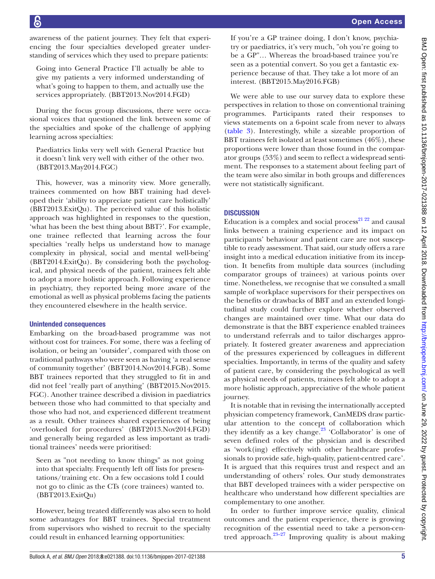awareness of the patient journey. They felt that experiencing the four specialties developed greater understanding of services which they used to prepare patients:

Going into General Practice I'll actually be able to give my patients a very informed understanding of what's going to happen to them, and actually use the services appropriately. (BBT2013.Nov2014.FGD)

During the focus group discussions, there were occasional voices that questioned the link between some of the specialties and spoke of the challenge of applying learning across specialties:

Paediatrics links very well with General Practice but it doesn't link very well with either of the other two. (BBT2013.May2014.FGC)

This, however, was a minority view. More generally, trainees commented on how BBT training had developed their 'ability to appreciate patient care holistically' (BBT2013.ExitQu). The perceived value of this holistic approach was highlighted in responses to the question, 'what has been the best thing about BBT?'. For example, one trainee reflected that learning across the four specialties 'really helps us understand how to manage complexity in physical, social and mental well-being' (BBT2014.ExitQu). By considering both the psychological, and physical needs of the patient, trainees felt able to adopt a more holistic approach. Following experience in psychiatry, they reported being more aware of the emotional as well as physical problems facing the patients they encountered elsewhere in the health service.

# Unintended consequences

Embarking on the broad-based programme was not without cost for trainees. For some, there was a feeling of isolation, or being an 'outsider', compared with those on traditional pathways who were seen as having 'a real sense of community together' (BBT2014.Nov2014.FGB). Some BBT trainees reported that they struggled to fit in and did not feel 'really part of anything' (BBT2015.Nov2015. FGC). Another trainee described a division in paediatrics between those who had committed to that specialty and those who had not, and experienced different treatment as a result. Other trainees shared experiences of being 'overlooked for procedures' (BBT2013.Nov2014.FGD) and generally being regarded as less important as traditional trainees' needs were prioritised:

Seen as "not needing to know things" as not going into that specialty. Frequently left off lists for presentations/training etc. On a few occasions told I could not go to clinic as the CTs (core trainees) wanted to. (BBT2013.ExitQu)

However, being treated differently was also seen to hold some advantages for BBT trainees. Special treatment from supervisors who wished to recruit to the specialty could result in enhanced learning opportunities:

If you're a GP trainee doing, I don't know, psychiatry or paediatrics, it's very much, "oh you're going to be a GP"… Whereas the broad-based trainee you're seen as a potential convert. So you get a fantastic experience because of that. They take a lot more of an interest. (BBT2015.May2016.FGB)

We were able to use our survey data to explore these perspectives in relation to those on conventional training programmes. Participants rated their responses to views statements on a 6-point scale from never to always [\(table](#page-3-0) 3). Interestingly, while a sizeable proportion of BBT trainees felt isolated at least sometimes (46%), these proportions were lower than those found in the comparator groups (53%) and seem to reflect a widespread sentiment. The responses to a statement about feeling part of the team were also similar in both groups and differences were not statistically significant.

# **DISCUSSION**

Education is a complex and social process $^{21\,22}$  and causal links between a training experience and its impact on participants' behaviour and patient care are not susceptible to ready assessment. That said, our study offers a rare insight into a medical education initiative from its inception. It benefits from multiple data sources (including comparator groups of trainees) at various points over time. Nonetheless, we recognise that we consulted a small sample of workplace supervisors for their perspectives on the benefits or drawbacks of BBT and an extended longitudinal study could further explore whether observed changes are maintained over time. What our data do demonstrate is that the BBT experience enabled trainees to understand referrals and to tailor discharges appropriately. It fostered greater awareness and appreciation of the pressures experienced by colleagues in different specialties. Importantly, in terms of the quality and safety of patient care, by considering the psychological as well as physical needs of patients, trainees felt able to adopt a more holistic approach, appreciative of the whole patient journey.

It is notable that in revising the internationally accepted physician competency framework, CanMEDS draw particular attention to the concept of collaboration which they identify as a key change. $23$  'Collaborator' is one of seven defined roles of the physician and is described as 'work(ing) effectively with other healthcare professionals to provide safe, high-quality, patient-centred care'. It is argued that this requires trust and respect and an understanding of others' roles. Our study demonstrates that BBT developed trainees with a wider perspective on healthcare who understand how different specialties are complementary to one another.

In order to further improve service quality, clinical outcomes and the patient experience, there is growing recognition of the essential need to take a person-centred approach. $23-27$  Improving quality is about making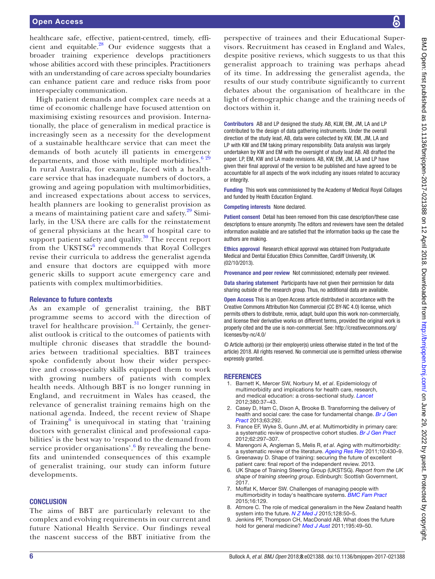healthcare safe, effective, patient-centred, timely, efficient and equitable. $^{28}$  Our evidence suggests that a broader training experience develops practitioners whose abilities accord with these principles. Practitioners with an understanding of care across specialty boundaries can enhance patient care and reduce risks from poor inter-specialty communication.

High patient demands and complex care needs at a time of economic challenge have focused attention on maximising existing resources and provision. Internationally, the place of generalism in medical practice is increasingly seen as a necessity for the development of a sustainable healthcare service that can meet the demands of both acutely ill patients in emergency departments, and those with multiple morbidities. $629$ In rural Australia, for example, faced with a healthcare service that has inadequate numbers of doctors, a growing and ageing population with multimorbidities, and increased expectations about access to services, health planners are looking to generalist provision as a means of maintaining patient care and safety.<sup>29</sup> Similarly, in the USA there are calls for the reinstatement of general physicians at the heart of hospital care to support patient safety and quality.<sup>[30](#page-6-12)</sup> The recent report from the UKSTS $G^6$  $G^6$  recommends that Royal Colleges revise their curricula to address the generalist agenda and ensure that doctors are equipped with more generic skills to support acute emergency care and patients with complex multimorbidities.

# Relevance to future contexts

As an example of generalist training, the BBT programme seems to accord with the direction of travel for healthcare provision.<sup>31</sup> Certainly, the generalist outlook is critical to the outcomes of patients with multiple chronic diseases that straddle the boundaries between traditional specialties. BBT trainees spoke confidently about how their wider perspective and cross-specialty skills equipped them to work with growing numbers of patients with complex health needs. Although BBT is no longer running in England, and recruitment in Wales has ceased, the relevance of generalist training remains high on the national agenda. Indeed, the recent review of Shape of Training $<sup>6</sup>$  $<sup>6</sup>$  $<sup>6</sup>$  is unequivocal in stating that 'training</sup> doctors with generalist clinical and professional capabilities' is the best way to 'respond to the demand from service provider organisations'.<sup>[6](#page-5-2)</sup> By revealing the benefits and unintended consequences of this example of generalist training, our study can inform future developments.

# **CONCLUSION**

The aims of BBT are particularly relevant to the complex and evolving requirements in our current and future National Health Service. Our findings reveal the nascent success of the BBT initiative from the

perspective of trainees and their Educational Supervisors. Recruitment has ceased in England and Wales, despite positive reviews, which suggests to us that this generalist approach to training was perhaps ahead of its time. In addressing the generalist agenda, the results of our study contribute significantly to current debates about the organisation of healthcare in the light of demographic change and the training needs of doctors within it.

Contributors AB and LP designed the study. AB, KLW, EM, JM, LA and LP contributed to the design of data gathering instruments. Under the overall direction of the study lead, AB, data were collected by KW, EM, JM, LA and LP with KW and EM taking primary responsibility. Data analysis was largely undertaken by KW and EM with the oversight of study lead AB. AB drafted the paper. LP, EM, KW and LA made revisions. AB, KW, EM, JM, LA and LP have given their final approval of the version to be published and have agreed to be accountable for all aspects of the work including any issues related to accuracy or integrity.

Funding This work was commissioned by the Academy of Medical Royal Collages and funded by Health Education England.

Competing interests None declared.

Patient consent Detail has been removed from this case description/these case descriptions to ensure anonymity. The editors and reviewers have seen the detailed information available and are satisfied that the information backs up the case the authors are making.

Ethics approval Research ethical approval was obtained from Postgraduate Medical and Dental Education Ethics Committee, Cardiff University, UK (02/10/2013).

Provenance and peer review Not commissioned; externally peer reviewed.

Data sharing statement Participants have not given their permission for data sharing outside of the research group. Thus, no additional data are available.

Open Access This is an Open Access article distributed in accordance with the Creative Commons Attribution Non Commercial (CC BY-NC 4.0) license, which permits others to distribute, remix, adapt, build upon this work non-commercially, and license their derivative works on different terms, provided the original work is properly cited and the use is non-commercial. See: [http://creativecommons.org/](http://creativecommons.org/licenses/by-nc/4.0/) [licenses/by-nc/4.0/](http://creativecommons.org/licenses/by-nc/4.0/)

© Article author(s) (or their employer(s) unless otherwise stated in the text of the article) 2018. All rights reserved. No commercial use is permitted unless otherwise expressly granted.

# **REFERENCES**

- <span id="page-5-0"></span>1. Barnett K, Mercer SW, Norbury M, *et al*. Epidemiology of multimorbidity and implications for health care, research, and medical education: a cross-sectional study. *[Lancet](http://dx.doi.org/10.1016/S0140-6736(12)60240-2)* 2012;380:37–43.
- Casey D, Ham C, Dixon A, Brooke B. Transforming the delivery of health and social care: the case for fundamental change. *[Br J Gen](http://dx.doi.org/10.3399/bjgp13X668104)  [Pract](http://dx.doi.org/10.3399/bjgp13X668104)* 2013;63:292.
- 3. France EF, Wyke S, Gunn JM, *et al*. Multimorbidity in primary care: a systematic review of prospective cohort studies. *[Br J Gen Pract](http://dx.doi.org/10.3399/bjgp12X636146)* 2012;62:297–307.
- 4. Marengoni A, Angleman S, Melis R, *et al*. Aging with multimorbidity: a systematic review of the literature. *[Ageing Res Rev](http://dx.doi.org/10.1016/j.arr.2011.03.003)* 2011;10:430–9.
- <span id="page-5-1"></span>5. Greenaway D. Shape of training: securing the future of excellent patient care: final report of the independent review. 2013.
- <span id="page-5-2"></span>6. UK Shape of Training Steering Group (UKSTSG). *Report from the UK shape of training steering group*. Edinburgh: Scottish Government, 2017.
- <span id="page-5-3"></span>7. Moffat K, Mercer SW. Challenges of managing people with multimorbidity in today's healthcare systems. *[BMC Fam Pract](http://dx.doi.org/10.1186/s12875-015-0344-4)* 2015;16:129.
- <span id="page-5-4"></span>8. Atmore C. The role of medical generalism in the New Zealand health system into the future. *[N Z Med J](http://www.ncbi.nlm.nih.gov/pubmed/26365846)* 2015;128:50–5.
- 9. Jenkins PF, Thompson CH, MacDonald AB. What does the future hold for general medicine? *[Med J Aust](http://www.ncbi.nlm.nih.gov/pubmed/21728946)* 2011;195:49–50.